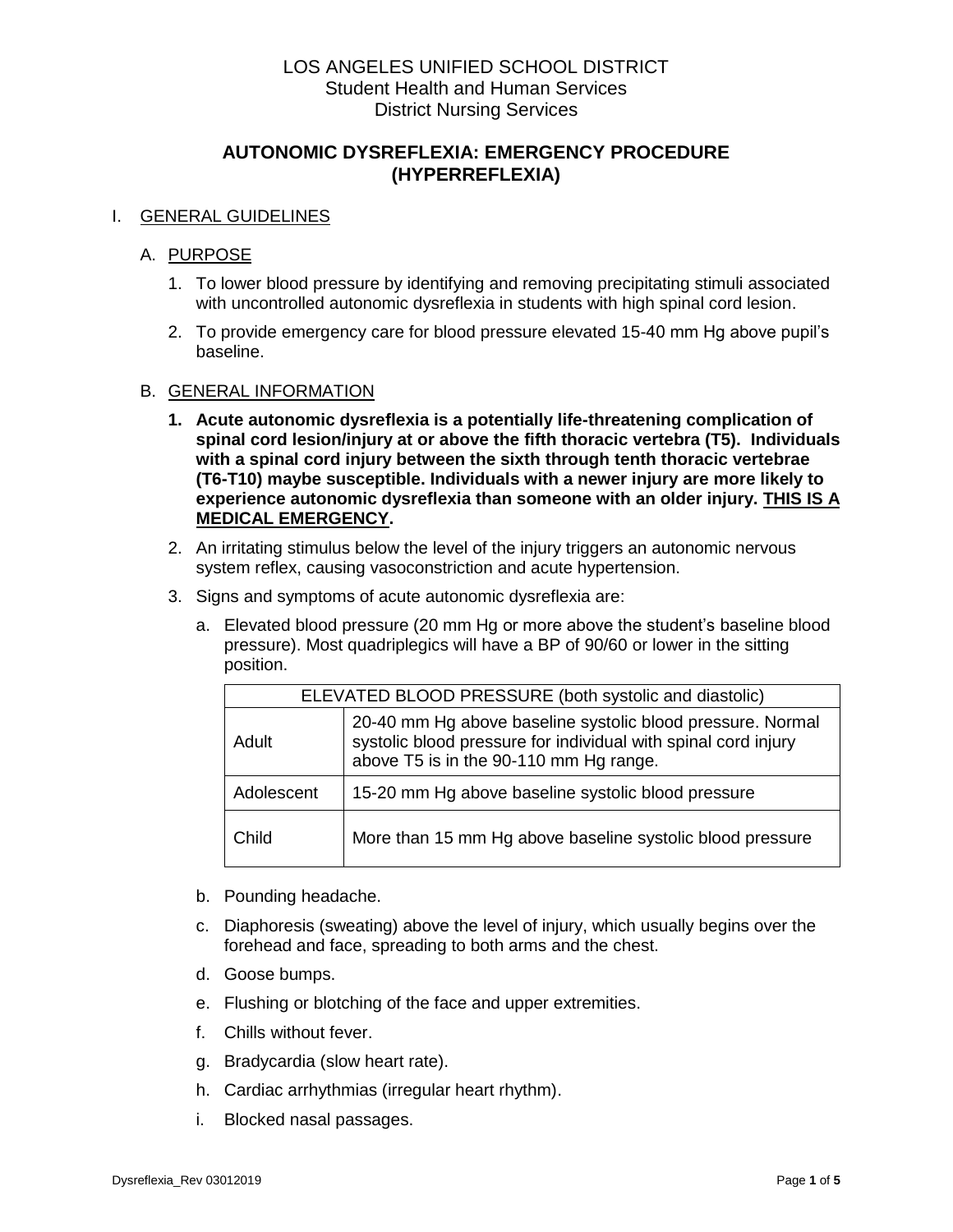# LOS ANGELES UNIFIED SCHOOL DISTRICT Student Health and Human Services District Nursing Services

# **AUTONOMIC DYSREFLEXIA: EMERGENCY PROCEDURE (HYPERREFLEXIA)**

## I. GENERAL GUIDELINES

### A. PURPOSE

- 1. To lower blood pressure by identifying and removing precipitating stimuli associated with uncontrolled autonomic dysreflexia in students with high spinal cord lesion.
- 2. To provide emergency care for blood pressure elevated 15-40 mm Hg above pupil's baseline.

#### B. GENERAL INFORMATION

- **1. Acute autonomic dysreflexia is a potentially life-threatening complication of spinal cord lesion/injury at or above the fifth thoracic vertebra (T5). Individuals with a spinal cord injury between the sixth through tenth thoracic vertebrae (T6-T10) maybe susceptible. Individuals with a newer injury are more likely to experience autonomic dysreflexia than someone with an older injury. THIS IS A MEDICAL EMERGENCY.**
- 2. An irritating stimulus below the level of the injury triggers an autonomic nervous system reflex, causing vasoconstriction and acute hypertension.
- 3. Signs and symptoms of acute autonomic dysreflexia are:
	- a. Elevated blood pressure (20 mm Hg or more above the student's baseline blood pressure). Most quadriplegics will have a BP of 90/60 or lower in the sitting position.

| ELEVATED BLOOD PRESSURE (both systolic and diastolic) |                                                                                                                                                                        |  |  |
|-------------------------------------------------------|------------------------------------------------------------------------------------------------------------------------------------------------------------------------|--|--|
| Adult                                                 | 20-40 mm Hg above baseline systolic blood pressure. Normal<br>systolic blood pressure for individual with spinal cord injury<br>above T5 is in the 90-110 mm Hg range. |  |  |
| Adolescent                                            | 15-20 mm Hg above baseline systolic blood pressure                                                                                                                     |  |  |
| Child                                                 | More than 15 mm Hg above baseline systolic blood pressure                                                                                                              |  |  |

- b. Pounding headache.
- c. Diaphoresis (sweating) above the level of injury, which usually begins over the forehead and face, spreading to both arms and the chest.
- d. Goose bumps.
- e. Flushing or blotching of the face and upper extremities.
- f. Chills without fever.
- g. Bradycardia (slow heart rate).
- h. Cardiac arrhythmias (irregular heart rhythm).
- i. Blocked nasal passages.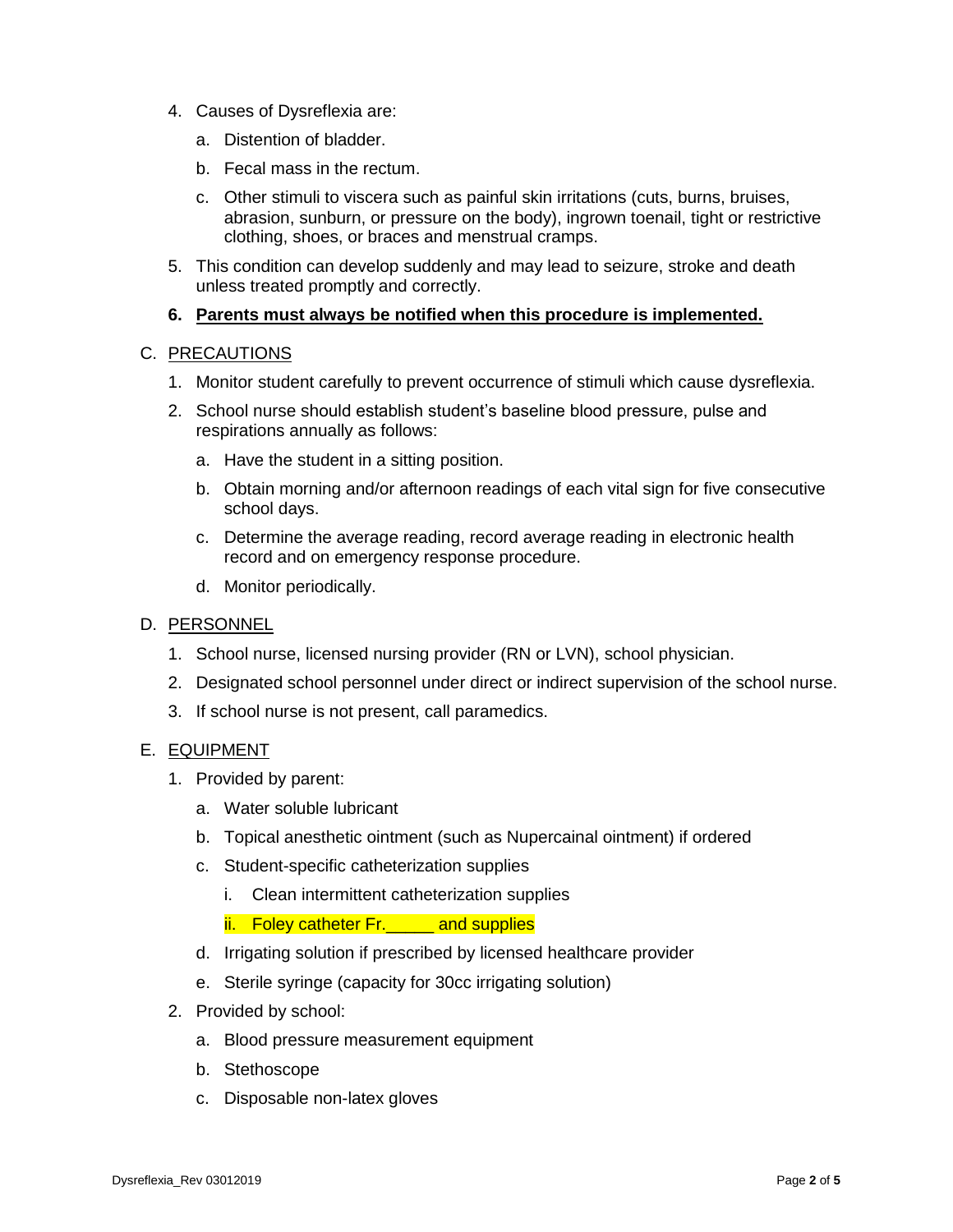- 4. Causes of Dysreflexia are:
	- a. Distention of bladder.
	- b. Fecal mass in the rectum.
	- c. Other stimuli to viscera such as painful skin irritations (cuts, burns, bruises, abrasion, sunburn, or pressure on the body), ingrown toenail, tight or restrictive clothing, shoes, or braces and menstrual cramps.
- 5. This condition can develop suddenly and may lead to seizure, stroke and death unless treated promptly and correctly.

#### **6. Parents must always be notified when this procedure is implemented.**

#### C. PRECAUTIONS

- 1. Monitor student carefully to prevent occurrence of stimuli which cause dysreflexia.
- 2. School nurse should establish student's baseline blood pressure, pulse and respirations annually as follows:
	- a. Have the student in a sitting position.
	- b. Obtain morning and/or afternoon readings of each vital sign for five consecutive school days.
	- c. Determine the average reading, record average reading in electronic health record and on emergency response procedure.
	- d. Monitor periodically.

#### D. PERSONNEL

- 1. School nurse, licensed nursing provider (RN or LVN), school physician.
- 2. Designated school personnel under direct or indirect supervision of the school nurse.
- 3. If school nurse is not present, call paramedics.

## E. EQUIPMENT

- 1. Provided by parent:
	- a. Water soluble lubricant
	- b. Topical anesthetic ointment (such as Nupercainal ointment) if ordered
	- c. Student-specific catheterization supplies
		- i. Clean intermittent catheterization supplies

## ii. Foley catheter Fr. can and supplies

- d. Irrigating solution if prescribed by licensed healthcare provider
- e. Sterile syringe (capacity for 30cc irrigating solution)
- 2. Provided by school:
	- a. Blood pressure measurement equipment
	- b. Stethoscope
	- c. Disposable non-latex gloves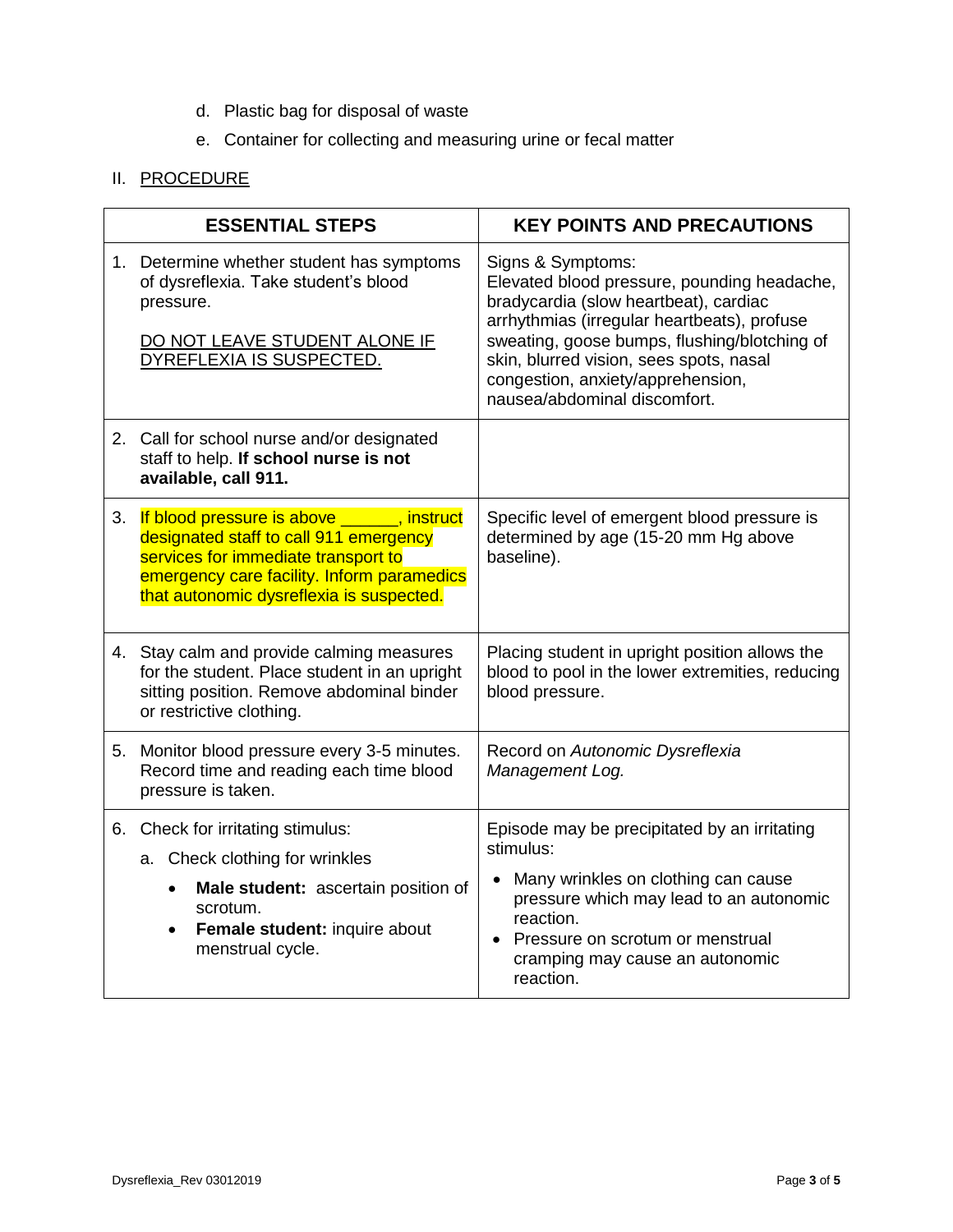- d. Plastic bag for disposal of waste
- e. Container for collecting and measuring urine or fecal matter

# II. PROCEDURE

| <b>ESSENTIAL STEPS</b> |                                                                                                                                                                                                                        | <b>KEY POINTS AND PRECAUTIONS</b>                                                                                                                                                                                                                                                                                        |
|------------------------|------------------------------------------------------------------------------------------------------------------------------------------------------------------------------------------------------------------------|--------------------------------------------------------------------------------------------------------------------------------------------------------------------------------------------------------------------------------------------------------------------------------------------------------------------------|
|                        | 1. Determine whether student has symptoms<br>of dysreflexia. Take student's blood<br>pressure.<br>DO NOT LEAVE STUDENT ALONE IF<br>DYREFLEXIA IS SUSPECTED.                                                            | Signs & Symptoms:<br>Elevated blood pressure, pounding headache,<br>bradycardia (slow heartbeat), cardiac<br>arrhythmias (irregular heartbeats), profuse<br>sweating, goose bumps, flushing/blotching of<br>skin, blurred vision, sees spots, nasal<br>congestion, anxiety/apprehension,<br>nausea/abdominal discomfort. |
|                        | 2. Call for school nurse and/or designated<br>staff to help. If school nurse is not<br>available, call 911.                                                                                                            |                                                                                                                                                                                                                                                                                                                          |
| 3.                     | If blood pressure is above ______, instruct<br>designated staff to call 911 emergency<br>services for immediate transport to<br>emergency care facility. Inform paramedics<br>that autonomic dysreflexia is suspected. | Specific level of emergent blood pressure is<br>determined by age (15-20 mm Hg above<br>baseline).                                                                                                                                                                                                                       |
|                        | 4. Stay calm and provide calming measures<br>for the student. Place student in an upright<br>sitting position. Remove abdominal binder<br>or restrictive clothing.                                                     | Placing student in upright position allows the<br>blood to pool in the lower extremities, reducing<br>blood pressure.                                                                                                                                                                                                    |
|                        | 5. Monitor blood pressure every 3-5 minutes.<br>Record time and reading each time blood<br>pressure is taken.                                                                                                          | Record on Autonomic Dysreflexia<br>Management Log.                                                                                                                                                                                                                                                                       |
|                        | 6. Check for irritating stimulus:<br>a. Check clothing for wrinkles<br>Male student: ascertain position of<br>scrotum.<br>Female student: inquire about<br>$\bullet$<br>menstrual cycle.                               | Episode may be precipitated by an irritating<br>stimulus:<br>• Many wrinkles on clothing can cause<br>pressure which may lead to an autonomic<br>reaction.<br>• Pressure on scrotum or menstrual<br>cramping may cause an autonomic<br>reaction.                                                                         |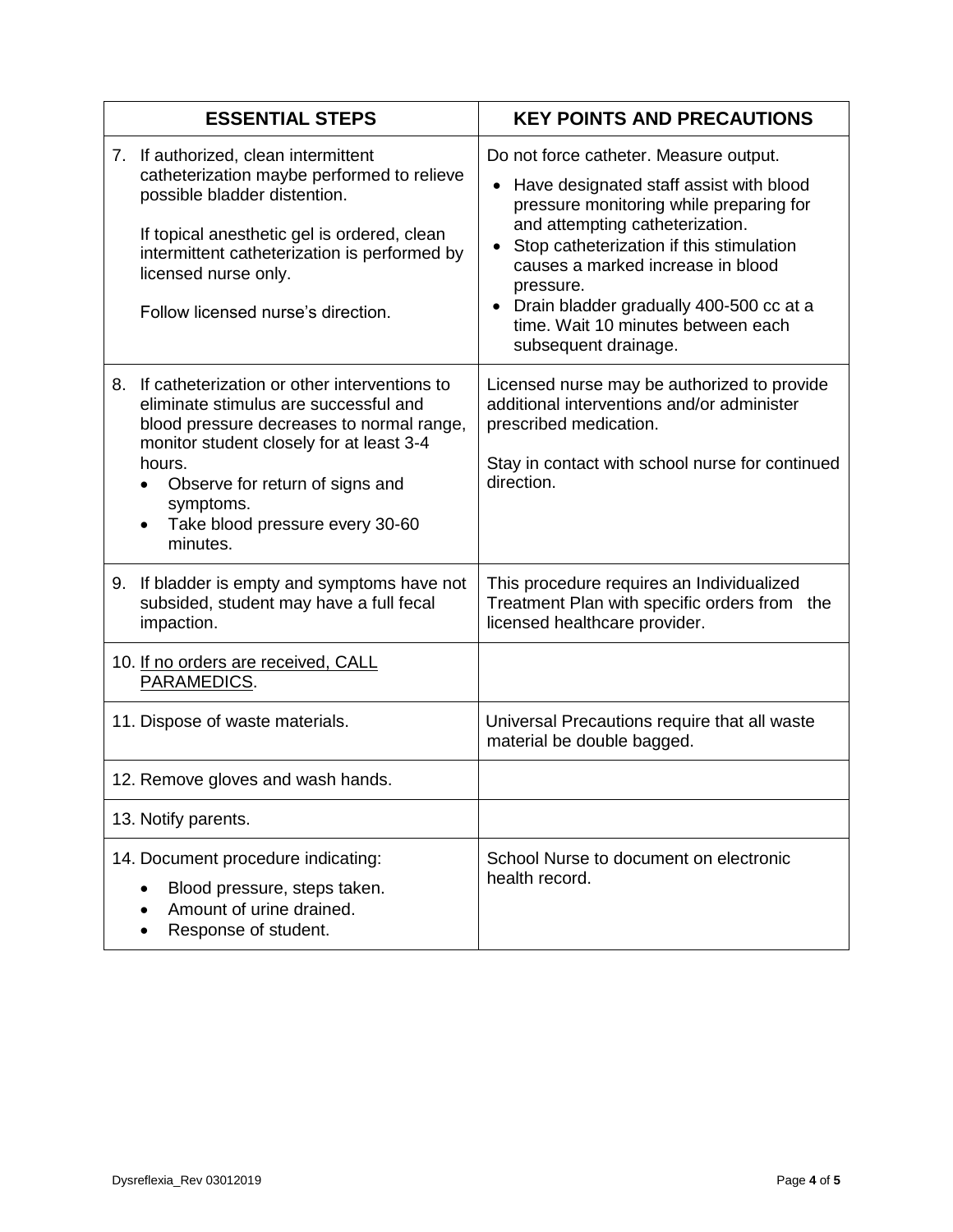| <b>ESSENTIAL STEPS</b>                                                                                                                                                                                                                                                                                     | <b>KEY POINTS AND PRECAUTIONS</b>                                                                                                                                                                                                                                                                                                                                                     |
|------------------------------------------------------------------------------------------------------------------------------------------------------------------------------------------------------------------------------------------------------------------------------------------------------------|---------------------------------------------------------------------------------------------------------------------------------------------------------------------------------------------------------------------------------------------------------------------------------------------------------------------------------------------------------------------------------------|
| 7. If authorized, clean intermittent<br>catheterization maybe performed to relieve<br>possible bladder distention.<br>If topical anesthetic gel is ordered, clean<br>intermittent catheterization is performed by<br>licensed nurse only.<br>Follow licensed nurse's direction.                            | Do not force catheter. Measure output.<br>Have designated staff assist with blood<br>$\bullet$<br>pressure monitoring while preparing for<br>and attempting catheterization.<br>Stop catheterization if this stimulation<br>causes a marked increase in blood<br>pressure.<br>• Drain bladder gradually 400-500 cc at a<br>time. Wait 10 minutes between each<br>subsequent drainage. |
| If catheterization or other interventions to<br>8.<br>eliminate stimulus are successful and<br>blood pressure decreases to normal range,<br>monitor student closely for at least 3-4<br>hours.<br>Observe for return of signs and<br>$\bullet$<br>symptoms.<br>Take blood pressure every 30-60<br>minutes. | Licensed nurse may be authorized to provide<br>additional interventions and/or administer<br>prescribed medication.<br>Stay in contact with school nurse for continued<br>direction.                                                                                                                                                                                                  |
| If bladder is empty and symptoms have not<br>9.<br>subsided, student may have a full fecal<br>impaction.                                                                                                                                                                                                   | This procedure requires an Individualized<br>Treatment Plan with specific orders from the<br>licensed healthcare provider.                                                                                                                                                                                                                                                            |
| 10. If no orders are received, CALL<br>PARAMEDICS.                                                                                                                                                                                                                                                         |                                                                                                                                                                                                                                                                                                                                                                                       |
| 11. Dispose of waste materials.                                                                                                                                                                                                                                                                            | Universal Precautions require that all waste<br>material be double bagged.                                                                                                                                                                                                                                                                                                            |
| 12. Remove gloves and wash hands.                                                                                                                                                                                                                                                                          |                                                                                                                                                                                                                                                                                                                                                                                       |
| 13. Notify parents.                                                                                                                                                                                                                                                                                        |                                                                                                                                                                                                                                                                                                                                                                                       |
| 14. Document procedure indicating:<br>Blood pressure, steps taken.<br>Amount of urine drained.<br>Response of student.                                                                                                                                                                                     | School Nurse to document on electronic<br>health record.                                                                                                                                                                                                                                                                                                                              |